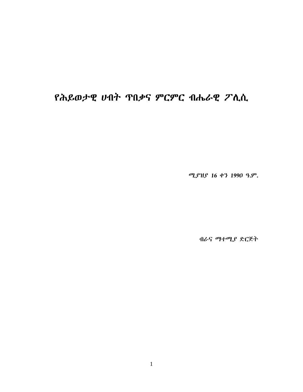# የሕይወታዊ ሀብት ጥበቃና ምርምር ብሔራዊ ፖሊሲ

ሚያዝያ 16 ቀን 1990 ዓ.ም.

ብራና ማተሚያ ድርጅት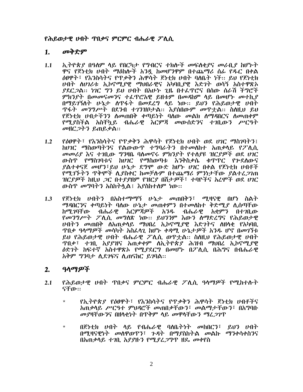### የሕይወታዊ ሀብት ጥበቃና ምርምር ብሔራዊ ፖሊሲ

#### መቅድም  $1.$

- ኢትዮጵያ በዓለም ላይ የበርካታ የግብርና ተክሎች መፍለቂያና መራቢያ ከሆኑት  $1.1$ ዋና የጀነቲክ ሀብት ማዕከሎች አንዳ ከመሆንዋም በተጨማሪ ስራ የዱር በቀል ዕፀዋት፣ የእንስሳትና የጥቃቅን ሕዋሳት ጀነተክ ሀብት ባለቤት ነች። ይህ የጀነተክ *ሁ*ብት ስ*ሀገሪቱ ኢኮኖሚያዊ ማህበራዊና አካ*ባቢ*ያዊ እድገት ወ*ሳኝ አስተዋጽኦ ያደር*ጋ*ል:: *ነገር ግን ይህ ሀብት* በአሁኑ ጊዜ በተፌዋሮና በሰው ስራሽ ችግሮች ምክንያት በመመናመንና ተፌዋሮአዊ ይዘቱም በመዳከም ላይ በመሆኑ መተኪያ በማይገኝስት ሁኔታ ሰጥፋት በመደረግ ላይ ነው። ይህን የሕይወታዊ ሀብት ዋፋት መንግሥት በደንብ ተገንዝቦታል፡፡ እያስበውም መዋቷል፡፡ ስስዚህ ይህ የጀነቲክ ሀብታችንን ስመጠበቅ ቀጣይነት ባስው መልክ ስማዳበርና ስመጠቀም የሚያስችል አስቸኳይ ብሔራዊ እርምጃ መውሰድንና ተገቢውን ሥርዓት መዘር*ጋ*ትን ይጠይቃል::-
- $1.2$ የዕፀዋት፣ የእንስሳትና የጥቃቅን ሕዋሳት የጀነቲክ ሀብት ወደ ሀገር ማስገባትን፤ ክሀገር ማስወጣትንና የልውውጥ ተግባራትን በተመስከተ አጠቃላይ የፖለሲ መመሪያ እና ተገቢው ግንዛቤ ባለመኖሩ ምክንያት የተለያዩ ዝርያዎች ወደ ሀገር ውስዋ የማስገባቱና ከሀገር የማስወጣቱ እንቅስቃሴ ቁጥዋር የሥደለውና ያልተቀናጀ መሆን፣ይህ ሁኔታ ደግሞ ውድ ከሆኑ ሀገር በቀል የጀነቲክ ሀብቶች *የሚገኙትን ጥቅሞች ሲያ*ስቀር ከመቻሉም በተጨማሪ ምንነታቸው *ያ*ልተረ*ጋገ*ጠ ዝርያዎች ከዚህ *ጋ*ር በተያያዘም የዝርያ በሽታዎች፣ ተባዮችና አረሞች ወደ ሀገር ውስጥ መግባትን አስከትሏል፤ እያስከተለም ነው፡፡
- የጀነቲክ ሀብትን በአስተማማኝ ሁኔታ መጠበቅን፣ ሚዛናዊ በሆነ ስልት  $1.3$ ማዳበርንና ቀጣይነት ባለው ሁኔታ መጠቀምን በተመለከተ ቅድሚያ ሊሰጣቸው ከሚገባቸው ብሔራዊ እርምጃዎች አንዱ ብሔራዊ አቋምን በተገቢው የመንግሥት ፖሲሲ መግለጽ ነው። ይህንንም እውን ስማድረግና የሕይወታዊ ሆብትን መጠበቅ ስሕጠቃሳይ ማህበረ ኢኮኖሚያዊ እድ*ገ*ትና ስዘሳቂ የአካባቢ ዋበቃ ዓላማዎች መሳካት አስፌላጊ ከሆኑ ቀዳሚ ሁኔታዎች አንዱ ሆኖ በመገኘቱ ይህ የሕይወታዊ ሀብት ብሔራዊ ፖሊሲ ወዋቷል። ስስዚህ የሕይወታዊ ሀብት ዋበቃ፣ ተገቢ አያያዝና አጠቃቀም ለኢትዮጵያ ሕዝብ ማህበረ ኢኮኖሚያዊ *ዕ*ድንት ከፍተኛ አስተዋጽኦ የሚያደርግ በመሆኑ በፖሊሲ በሕግና በብሔራዊ አቅም ግንባታ ሲደንፍና ሲጠናከር ይገባል።

#### $2.$ ዓላማዎች

- የሕይወታዊ ሀብት ጥበቃና ምርምር ብሔራዊ ፖሊሲ ዓላማዎች የሚከተሱት  $2.1$ ናቸው።
	- የኢትዮጵያ የዕፀዋት፣ የእንስሳትና የጥቃቅን ሕዋሳት ጀነቲክ ሀብቶችና  $\star$ አጠቃላይ ሥርዓተ ምህዳሮች መጠበቃቸውን፣ መልማታቸውን፣ በአግባቡ መያዛቸውንና በዘላቂነት በጥቅም ላይ መዋላቸውን ማፈ*ጋገ*ጥ
	- በጀነቲክ ሀብት ሳይ የብሔራዊ ባለቤትነት መከበርን፣ ይህን ሀብት  $\star$ በሚዛናዊነት መስዋወጥን፣ ንዳት በማያስከትል መልኩ ማንቀሳቀስንና በአጠቃሳይ ተገቢ አያያዙን የሚያፈጋግዋ ዘዴ መቀየስ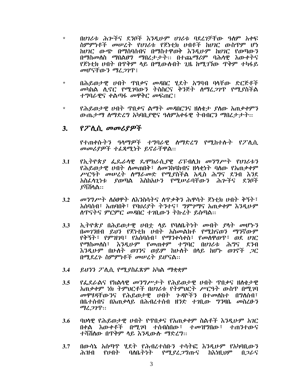- በሀገሪቱ ሕጕችና ደንቦች እንዲሁም ሀገሪቱ ባደረገቻቸው ዓለም አቀፍ  $\star$ ስምምነቶች መሠረት የሀገሪቱ የጀነቲክ ሀብቶች ከሀገር ውስጥም ሆነ ከሀገር ውጭ በማሰባሰብና በማስተዋወቅ እንዲሁም ከሀገር የወጣውን በማስመለስ ማበልፀግ ማበረታታት፡፡ በተጨማሪም ባሕሳዊ እውቀትና የጀነቲክ ሀብት በጥቅም ላይ በሚውሉበት ጊዜ ከሚገኘው ጥቅም ተካፋይ መሆናቸውን ማፈጋገጥ፤
- በሕይወታዊ ሀብት ዋበቃና መዳበር ሂደት አግባብ ባላቸው ድርጅቶች  $\star$ መካከል ሲኖር የሚገባውን ትስስርና ቅንጅት ስማፈጋገጥ የሚያስችል ተግባራዊና ቀልጣፋ መዋቅር መፍጠር፤
- <u>የሕይወታዊ ሀብት ዋበቃና ልማት መዳበርንና ዘስቂታ ያስው አጠቃቀምን</u>  $\star$ ውጤታማ ስማድረግ አካባቢያዊና ዓስምአቀፋዊ ትብብርን ማበረታታት፡፡

#### $3.$ *የፖሊሲ መመሪያዎች*

የተጠቀሱትን ዓላማዎች ተግባራዊ ለማድረግ የሚከተሱት የፖሊሲ መመሪያዎች ተፈጻሚነት ይኖራቸዋል።

- *የኢት*ዮጵ*ያ ፌ*ጴራሳዊ ዴሞክራሲያዊ ሪፑብሊክ መንግሥት የሀገሪቱን  $3.1$ <u>የሕይወታዊ ሀብት ስመጠበቅ፣ ስመንከባከብና ዘላቂነት ባሰው የአጠቃቀም</u> ሥርዓት መሠረት ስማራመድ የሚያስችል አዲስ ሕግና ደንብ እንደ አስፌሳጊነቱ ያወጣል እስከአሁን የሚሥራባቸውን ሕጕችና ደንቦች *ያሻሽ*ሳል።
- መንግሥት ስዕፀዋት ስእንስሳትና ስጥቃቅን ሕዋሳት ጀነተክ ሀብት ቅኝት፣  $3.2$ አሰባሰብ፣ አጠባበቅ፣ የባህሪያት ትንተና፣ ግምገማና አጠቃቀም እንዲሁም ለዋናትና ምርምር መዳበር ተገቢውን ትኩረት ይሰጣል፡፡
- ኢትዮጵያ በሕይወታዊ ሀብቷ ላይ የባለቤትነት መብት ያላት መሆኑን  $3.3$ በመገንዘብ ይህን የጀነቲክ ሀብት አስመልክቶ የሚከናወን ማንኛውም የቅኝት፣ የምዝገባ፣ የአሰባሰብ፣ የማንቀሳቀስ፣ የመስዋወጥ፣ ወደ ሀገር የማስመለስ፣ እንዲሁም የመጠቀም ተግባር በሀገሪቱ ሕግና ደንብ እንዲሁም በሁለት ወገንና ወይም ከሁለት በላይ ከሆኑ ወገኖች *ጋ*ር በሚደረጉ ስምምነቶች መሠረት ይሆናል።
- ይህንን ፖሊሲ የሚያስፌጽም አካል ማቋቋም  $3.4$
- *የፌ*ደራልና *የክ*ልላዊ *መንግሥታት* የሕይወታዊ ሀብት ጥበቃና ዘስቄታዊ  $3.5$ አጠቃቀም ነክ ትምህርቶች በሀገሪቱ የትምህርት ሥርዓት ውስጥ በሚገባ መዋሃዳቸውንና የሕይወታዋ ሀብት ንዳዮችን በተመስከተ በግለሰብ፣ በቤተሰብና በአጠቃሳይ በሕብረተሰብ ዘንድ ተገቢው ግንዛቤ መስረፁን ማሪ ጋገጥ::
- ባህሳዊ የሕይወታዊ ሀብት የጥበቃና የአጠቃቀም ስልቶች እንዲሁም አገር 3.6 በቀል እውቀቶች በሚገባ ተሰብስበው፤ ተመዝግበው፤ ተጠንተውና ተሻሽለው በጥቅም ላይ እንዲውሱ ማድረግ፡፡
- በውሳኔ አሰጣዋ ሂደት የሕብረተሰቡን ተሳትፎ እንዲሁም የአካባቢውን  $3.7$ ሕዝብ የሀብት ባለቤትነት የሚያረ*ጋግ*ጡና ከእነዚህም በ*ጋ*ራና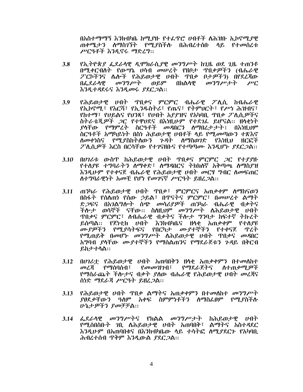በአስተማማኝ እንክብካቤ ከሚያዙ የተፌዋሮ ሀብቶች ለሕዝቡ ኢኮኖሚያዊ ጠቀሜታን ስማስገኘት የሚያስችሱ በሕብረተሰቡ ላይ የተመሰረቱ ሥርዓቶች እንዲኖሩ ማድረግ::-

- *የኢት*ዮጵ*ያ ፌ*ደራሳዊ *ዲ*ሞክራሲ*ያ*ዊ መንግሥት ከጊዜ ወደ ጊዜ ተጠንቶ  $3.8$ በሚቀርብለት የውሣኔ ሀሳብ መሠረት የዘቦታ ጥበቃዎችን (ብሔራዊ ፖርኮችንና ሌሎች የሕይወታዊ ሀብት ዋበቃ ቦታዎችን) በየደረጃው በፌደራሳዊ መንግሥት ወይም በክልሳዊ መንግሥታት ሥር እንዲተዳደሩና እንዲመሩ ያደር*ጋ*ል።
- የሕይወታዊ ሀብት ጥበቃና ምርምር ብሔራዊ ፖሊሲ ከብሔራዊ  $3.9$ የኢኮኖሚ ፣ የእርሽ፣ የኢንዱስትሪ፣ የጤና፣ የትምህርት፣ የሥነ ሕዝብና፣ የከተማ፣ የሀይልና የህንጻ፣ የሀብት አያያዝና የአካባቢ ጥበቃ ፖሊሲዎችና ስትራቴጂዎች *ጋ*ር የተዋሀደና በእነዚሁም የተደ*ገ*ሬ ይሆናል። ዘላቂነት ያላቸው የማምረት ስርዓቶች መዳበርን ስማበረታታት፤ በእነዚህም ስርዓቶች አማካይነት በስነ ሕይወታዊ ሀብቶች ላይ የሚመጣውን ተጽእኖ ለመቀነስና የሚያስከትለውን ጉዳት ለማስወገድ የእነዚህ ዘርፎች ፖሊሲዎች እርስ በርሳቸው የተገናዘቡና የተጣጣሙ እንዲሆኑ ያደርጋል፡፡
- በሀገሪቱ ውስዋ ከሕይወታዊ ሀብት ዋበቃና ምርምር *ጋ*ር የተያያዙ **3.10** የተለያዩ ተግባራትን ስማቀድ፣ ስማዳበርና ትክክስኛ አቅጣጫ ስማስያዝ እንዲሁም የተቀናጀ ብሔራዊ የሕይወታዊ ሀብት መርሃ ግብር ስመፍጠር ስተግባራዊነት አመቺ የሆነ የመገናኛ ሥርዓት ይዘረ*ጋ*ል።
- ጠንካራ የሕይወታዊ ሀብት ጥበቃ፣ ምርምርና አጠቃቀም ስማከናወን  $3.11$ በስፋት የስስጠነ የሰው ኃይል፣ በዋናትና ምርምር፣ በመሠረተ ልማት ድ*ጋ*ፍና በአ*ገ*ልግሎት ሰጭ መሳሪ*ያዎች* ጠንካራ ብሔራዊ ብቃትና ችሎታ ወሳኞች ናቸው። ስስዚህም መንግሥት ስሕይወታዊ ሀብት *ፕበቃና ምርምር*፣ ስብሔራዊ ብቃትና ችሎታ *ግን*ባታ ከፍተኛ ትኩረት ይሰጣል፡፡ የጀነቲክ ሀብት እንክብካቤና ዘላቂ አጠቃቀም የተለያዩ ሙያዎችን የሚያሳትፍና የበርካታ ሙያተኞችን የተቀናጀ ዋረት የሚጠይቅ በመሆኑ መንግሥት ስሕይወታዊ ሀብት ጥበቃና መዳበር አግባብ ያሳቸው ሙያተኞችን የማሰልጠንና የማደራጀቱን ጉዳይ በቅርብ ይከታተሳል።
- በሀገሪቷ የሕይወታዊ ሀብት አጠባበቅን ዘሳቂ አጠቃቀምን በተመስከተ  $3.12$ መረጃ የማሰባሰብ፣ የመመዝንብ፣ የማደራጀትና ስተጠቃሚዎች የማስራጨት ችሎታና ብቃት ያስው ብሔራዊ የሕይወታዊ ሀብት መረጃና ሰነድ ማደራጃ ሥርዓት ይዘረ*ጋ*ል።
- $3.13$ <u>የሕይወታዊ ሀብት ጥበቃ ልማትና አጠቃቀምን በተመስከተ መንግሥት</u> *ያፀ*ደቃቸው*ን* ዓስም አቀፍ ስምምነቶችን ስማስፌፀም የሚያስችሉ ሁኔታዎችን ያመቻቻል::
- $3.14$  ፌደራሳዊ መንግሥትና የክልል መንግሥታት ከሕይወታዊ ሀብት የሚሰበስቡት *ገ*ቢ ስሕይወታዊ ሀብት አጠባበቅ፣ ልማትና አስተዳደር እንዲሁም በአጠባበቁና በእንክብካቤው ላይ ተሳትፎ ለሚያደርጉ የአካባቢ ሕብረተሰብ ዋቅም እንዲውል ያደር*ጋ*ል።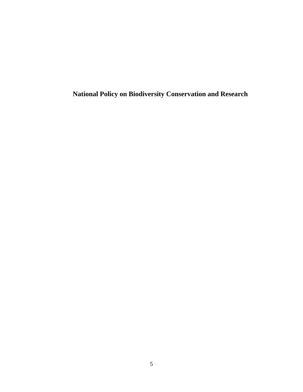**National Policy on Biodiversity Conservation and Research**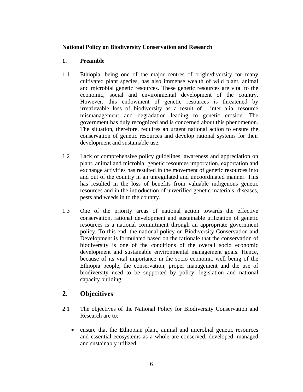### **National Policy on Biodiversity Conservation and Research**

### **1. Preamble**

- 1.1 Ethiopia, being one of the major centres of origin/diversity for many cultivated plant species, has also immense wealth of wild plant, animal and microbial genetic resources. These genetic resources are vital to the economic, social and environmental development of the country. However, this endowment of genetic resources is threatened by irretrievable loss of biodiversity as a result of , inter alia, resource mismanagement and degradation leading to genetic erosion. The government has duly recognized and is concerned about this phenomenon. The situation, therefore, requires an urgent national action to ensure the conservation of genetic resources and develop rational systems for their development and sustainable use.
- 1.2 Lack of comprehensive policy guidelines, awareness and appreciation on plant, animal and microbial genetic resources importation, exportation and exchange activities has resulted in the movement of genetic resources into and out of the country in an unregulated and uncoordinated manner. This has resulted in the loss of benefits from valuable indigenous genetic resources and in the introduction of unverified genetic materials, diseases, pests and weeds in to the country.
- 1.3 One of the priority areas of national action towards the effective conservation, rational development and sustainable utilization of genetic resources is a national commitment through an appropriate government policy. To this end, the national policy on Biodiversity Conservation and Development is formulated based on the rationale that the conservation of biodiversity is one of the conditions of the overall socio economic development and sustainable environmental management goals. Hence, because of its vital importance in the socio economic well being of the Ethiopia people, the conservation, proper management and the use of biodiversity need to be supported by policy, legislation and national capacity building.

# **2. Objecitives**

- 2.1 The objectives of the National Policy for Biodiversity Conservation and Research are to:
	- ensure that the Ethiopian plant, animal and microbial genetic resources and essential ecosystems as a whole are conserved, developed, managed and sustainably utilized;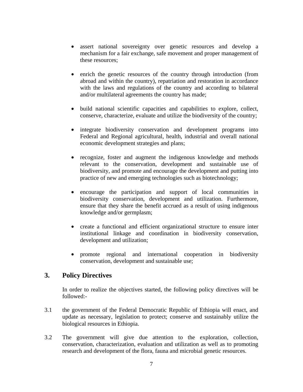- assert national sovereignty over genetic resources and develop a mechanism for a fair exchange, safe movement and proper management of these resources;
- enrich the genetic resources of the country through introduction (from abroad and within the country), repatriation and restoration in accordance with the laws and regulations of the country and according to bilateral and/or multilateral agreements the country has made;
- build national scientific capacities and capabilities to explore, collect, conserve, characterize, evaluate and utilize the biodiversity of the country;
- integrate biodiversity conservation and development programs into Federal and Regional agricultural, health, industrial and overall national economic development strategies and plans;
- recognize, foster and augment the indigenous knowledge and methods relevant to the conservation, development and sustainable use of biodiversity, and promote and encourage the development and putting into practice of new and emerging technologies such as biotechnology;
- encourage the participation and support of local communities in biodiversity conservation, development and utilization. Furthermore, ensure that they share the benefit accrued as a result of using indigenous knowledge and/or germplasm;
- create a functional and efficient organizational structure to ensure inter institutional linkage and coordination in biodiversity conservation, development and utilization;
- promote regional and international cooperation in biodiversity conservation, development and sustainable use;

# **3. Policy Directives**

In order to realize the objectives started, the following policy directives will be followed:-

- 3.1 the government of the Federal Democratic Republic of Ethiopia will enact, and update as necessary, legislation to protect; conserve and sustainably utilize the biological resources in Ethiopia.
- 3.2 The government will give due attention to the exploration, collection, conservation, characterization, evaluation and utilization as well as to promoting research and development of the flora, fauna and microbial genetic resources.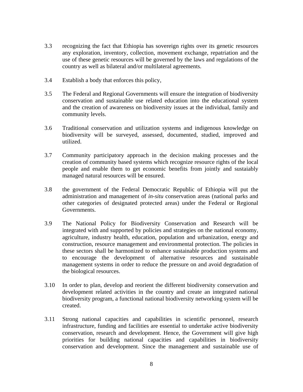- 3.3 recognizing the fact that Ethiopia has sovereign rights over its genetic resources any exploration, inventory, collection, movement exchange, repatriation and the use of these genetic resources will be governed by the laws and regulations of the country as well as bilateral and/or multilateral agreements.
- 3.4 Establish a body that enforces this policy,
- 3.5 The Federal and Regional Governments will ensure the integration of biodiversity conservation and sustainable use related education into the educational system and the creation of awareness on biodiversity issues at the individual, family and community levels.
- 3.6 Traditional conservation and utilization systems and indigenous knowledge on biodiversity will be surveyed, assessed, documented, studied, improved and utilized.
- 3.7 Community participatory approach in the decision making processes and the creation of community based systems which recognize resource rights of the local people and enable them to get economic benefits from jointly and sustaiably managed natural resources will be ensured.
- 3.8 the government of the Federal Democratic Republic of Ethiopia will put the administration and management of *in-situ* conservation areas (national parks and other categories of designated protected areas) under the Federal or Regional Governments.
- 3.9 The National Policy for Biodiversity Conservation and Research will be integrated with and supported by policies and strategies on the national economy, agriculture, industry health, education, population and urbanization, energy and construction, resource management and environmental protection. The policies in these sectors shall be harmonized to enhance sustainable production systems and to encourage the development of alternative resources and sustainable management systems in order to reduce the pressure on and avoid degradation of the biological resources.
- 3.10 In order to plan, develop and reorient the different biodiversity conservation and development related activities in the country and create an integrated national biodiversity program, a functional national biodiversity networking system will be created.
- 3.11 Strong national capacities and capabilities in scientific personnel, research infrastructure, funding and facilities are essential to undertake active biodiversity conservation, research and development. Hence, the Government will give high priorities for building national capacities and capabilities in biodiversity conservation and development. Since the management and sustainable use of